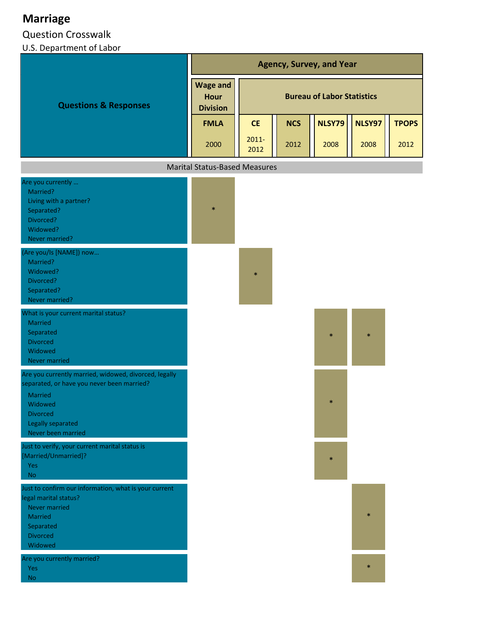## **Marriage**

## Question Crosswalk

## U.S. Department of Labor

|                                                                                                                                                                                                | <b>Agency, Survey, and Year</b>                   |                                   |            |        |        |              |  |
|------------------------------------------------------------------------------------------------------------------------------------------------------------------------------------------------|---------------------------------------------------|-----------------------------------|------------|--------|--------|--------------|--|
| <b>Questions &amp; Responses</b>                                                                                                                                                               | <b>Wage and</b><br><b>Hour</b><br><b>Division</b> | <b>Bureau of Labor Statistics</b> |            |        |        |              |  |
|                                                                                                                                                                                                | <b>FMLA</b>                                       | <b>CE</b>                         | <b>NCS</b> | NLSY79 | NLSY97 | <b>TPOPS</b> |  |
|                                                                                                                                                                                                | 2000                                              | $2011 -$<br>2012                  | 2012       | 2008   | 2008   | 2012         |  |
|                                                                                                                                                                                                | <b>Marital Status-Based Measures</b>              |                                   |            |        |        |              |  |
| Are you currently<br>Married?<br>Living with a partner?<br>Separated?<br>Divorced?<br>Widowed?<br>Never married?                                                                               | $\ast$                                            |                                   |            |        |        |              |  |
| (Are you/Is [NAME]) now<br>Married?<br>Widowed?<br>Divorced?<br>Separated?<br>Never married?                                                                                                   |                                                   | $\ast$                            |            |        |        |              |  |
| What is your current marital status?<br>Married<br>Separated<br><b>Divorced</b><br>Widowed<br>Never married                                                                                    |                                                   |                                   |            | $\ast$ | $\ast$ |              |  |
| Are you currently married, widowed, divorced, legally<br>separated, or have you never been married?<br><b>Married</b><br>Widowed<br><b>Divorced</b><br>Legally separated<br>Never been married |                                                   |                                   |            | $\ast$ |        |              |  |
| Just to verify, your current marital status is<br>[Married/Unmarried]?<br><b>Yes</b><br><b>No</b>                                                                                              |                                                   |                                   |            | $\ast$ |        |              |  |
| Just to confirm our information, what is your current<br>legal marital status?<br><b>Never married</b><br><b>Married</b><br>Separated<br><b>Divorced</b><br>Widowed                            |                                                   |                                   |            |        | $\ast$ |              |  |
| Are you currently married?<br>Yes<br><b>No</b>                                                                                                                                                 |                                                   |                                   |            |        | $\ast$ |              |  |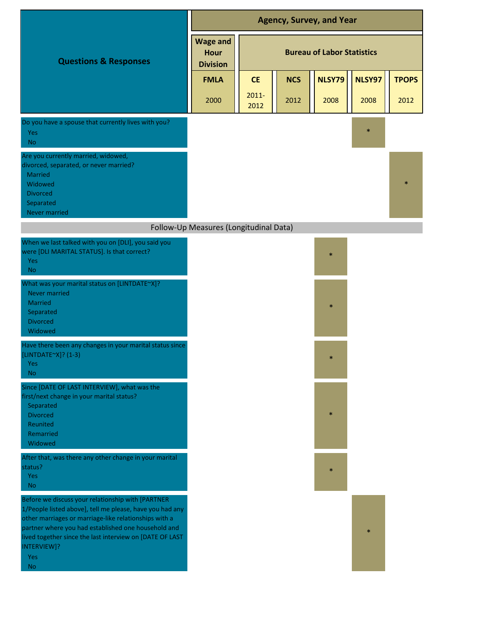|                                                                                                                                                                                                                                                                                                                              | <b>Agency, Survey, and Year</b>                   |                                   |            |               |        |              |
|------------------------------------------------------------------------------------------------------------------------------------------------------------------------------------------------------------------------------------------------------------------------------------------------------------------------------|---------------------------------------------------|-----------------------------------|------------|---------------|--------|--------------|
| <b>Questions &amp; Responses</b>                                                                                                                                                                                                                                                                                             | <b>Wage and</b><br><b>Hour</b><br><b>Division</b> | <b>Bureau of Labor Statistics</b> |            |               |        |              |
|                                                                                                                                                                                                                                                                                                                              | <b>FMLA</b>                                       | <b>CE</b>                         | <b>NCS</b> | <b>NLSY79</b> | NLSY97 | <b>TPOPS</b> |
|                                                                                                                                                                                                                                                                                                                              | 2000                                              | $2011 -$<br>2012                  | 2012       | 2008          | 2008   | 2012         |
| Do you have a spouse that currently lives with you?<br>Yes<br><b>No</b>                                                                                                                                                                                                                                                      |                                                   |                                   |            |               | $\ast$ |              |
| Are you currently married, widowed,<br>divorced, separated, or never married?<br>Married<br>Widowed<br><b>Divorced</b><br>Separated<br><b>Never married</b>                                                                                                                                                                  |                                                   |                                   |            |               |        |              |
|                                                                                                                                                                                                                                                                                                                              | Follow-Up Measures (Longitudinal Data)            |                                   |            |               |        |              |
| When we last talked with you on [DLI], you said you<br>were [DLI MARITAL STATUS]. Is that correct?<br><b>Yes</b><br><b>No</b>                                                                                                                                                                                                |                                                   |                                   |            | $\ast$        |        |              |
| What was your marital status on [LINTDATE~X]?<br><b>Never married</b><br><b>Married</b><br>Separated<br><b>Divorced</b><br>Widowed                                                                                                                                                                                           |                                                   |                                   |            | $\ast$        |        |              |
| Have there been any changes in your marital status since<br>[LINTDATE~X]? (1-3)<br>Yes<br>No.                                                                                                                                                                                                                                |                                                   |                                   |            | $\ast$        |        |              |
| Since [DATE OF LAST INTERVIEW], what was the<br>first/next change in your marital status?<br>Separated<br><b>Divorced</b><br>Reunited<br>Remarried<br>Widowed                                                                                                                                                                |                                                   |                                   |            |               |        |              |
| After that, was there any other change in your marital<br>status?<br>Yes<br><b>No</b>                                                                                                                                                                                                                                        |                                                   |                                   |            | *             |        |              |
| Before we discuss your relationship with [PARTNER<br>1/People listed above], tell me please, have you had any<br>other marriages or marriage-like relationships with a<br>partner where you had established one household and<br>lived together since the last interview on [DATE OF LAST<br>INTERVIEW]?<br>Yes<br><b>No</b> |                                                   |                                   |            |               | $\ast$ |              |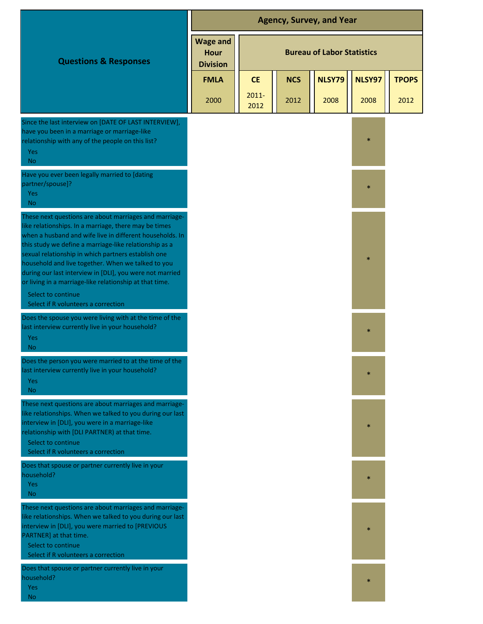|                                                                                                                                                                                                                                                                                                                                                                                                                                                                                                 | <b>Agency, Survey, and Year</b>                   |                  |            |                                   |        |              |
|-------------------------------------------------------------------------------------------------------------------------------------------------------------------------------------------------------------------------------------------------------------------------------------------------------------------------------------------------------------------------------------------------------------------------------------------------------------------------------------------------|---------------------------------------------------|------------------|------------|-----------------------------------|--------|--------------|
| <b>Questions &amp; Responses</b>                                                                                                                                                                                                                                                                                                                                                                                                                                                                | <b>Wage and</b><br><b>Hour</b><br><b>Division</b> |                  |            | <b>Bureau of Labor Statistics</b> |        |              |
|                                                                                                                                                                                                                                                                                                                                                                                                                                                                                                 | <b>FMLA</b>                                       | <b>CE</b>        | <b>NCS</b> | <b>NLSY79</b>                     | NLSY97 | <b>TPOPS</b> |
|                                                                                                                                                                                                                                                                                                                                                                                                                                                                                                 | 2000                                              | $2011 -$<br>2012 | 2012       | 2008                              | 2008   | 2012         |
| Since the last interview on [DATE OF LAST INTERVIEW],<br>have you been in a marriage or marriage-like<br>relationship with any of the people on this list?<br><b>Yes</b><br>N <sub>o</sub>                                                                                                                                                                                                                                                                                                      |                                                   |                  |            |                                   | $\ast$ |              |
| Have you ever been legally married to [dating<br>partner/spouse]?<br><b>Yes</b><br>N <sub>o</sub>                                                                                                                                                                                                                                                                                                                                                                                               |                                                   |                  |            |                                   | $\ast$ |              |
| These next questions are about marriages and marriage-<br>like relationships. In a marriage, there may be times<br>when a husband and wife live in different households. In<br>this study we define a marriage-like relationship as a<br>sexual relationship in which partners establish one<br>household and live together. When we talked to you<br>during our last interview in [DLI], you were not married<br>or living in a marriage-like relationship at that time.<br>Select to continue |                                                   |                  |            |                                   | $\ast$ |              |
| Select if R volunteers a correction<br>Does the spouse you were living with at the time of the<br>last interview currently live in your household?<br><b>Yes</b><br><b>No</b>                                                                                                                                                                                                                                                                                                                   |                                                   |                  |            |                                   | $\ast$ |              |
| Does the person you were married to at the time of the<br>last interview currently live in your household?<br>Yes<br>No.                                                                                                                                                                                                                                                                                                                                                                        |                                                   |                  |            |                                   | $\ast$ |              |
| These next questions are about marriages and marriage-<br>like relationships. When we talked to you during our last<br>interview in [DLI], you were in a marriage-like<br>relationship with [DLI PARTNER) at that time.<br>Select to continue<br>Select if R volunteers a correction                                                                                                                                                                                                            |                                                   |                  |            |                                   | $\ast$ |              |
| Does that spouse or partner currently live in your<br>household?<br><b>Yes</b><br>N <sub>o</sub>                                                                                                                                                                                                                                                                                                                                                                                                |                                                   |                  |            |                                   | $\ast$ |              |
| These next questions are about marriages and marriage-<br>like relationships. When we talked to you during our last<br>interview in [DLI], you were married to [PREVIOUS<br>PARTNER] at that time.<br>Select to continue<br>Select if R volunteers a correction                                                                                                                                                                                                                                 |                                                   |                  |            |                                   | *      |              |
| Does that spouse or partner currently live in your<br>household?<br><b>Yes</b><br>No.                                                                                                                                                                                                                                                                                                                                                                                                           |                                                   |                  |            |                                   | $\ast$ |              |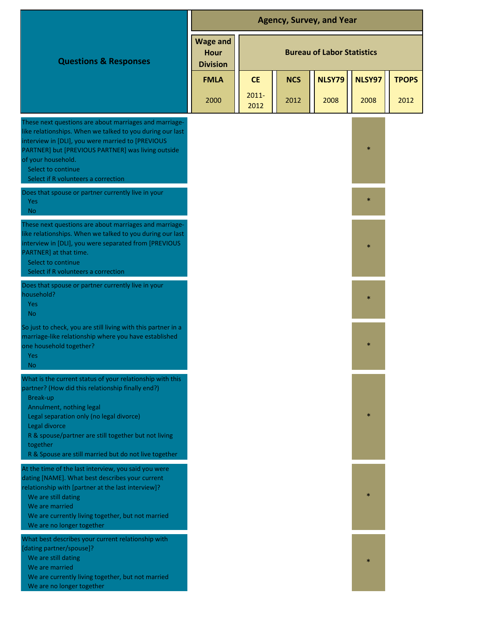|                                                                                                                                                                                                                                                                                                                                                  | <b>Agency, Survey, and Year</b>                   |                  |            |                                   |        |              |
|--------------------------------------------------------------------------------------------------------------------------------------------------------------------------------------------------------------------------------------------------------------------------------------------------------------------------------------------------|---------------------------------------------------|------------------|------------|-----------------------------------|--------|--------------|
| <b>Questions &amp; Responses</b>                                                                                                                                                                                                                                                                                                                 | <b>Wage and</b><br><b>Hour</b><br><b>Division</b> |                  |            | <b>Bureau of Labor Statistics</b> |        |              |
|                                                                                                                                                                                                                                                                                                                                                  | <b>FMLA</b>                                       | <b>CE</b>        | <b>NCS</b> | <b>NLSY79</b>                     | NLSY97 | <b>TPOPS</b> |
|                                                                                                                                                                                                                                                                                                                                                  | 2000                                              | $2011 -$<br>2012 | 2012       | 2008                              | 2008   | 2012         |
| These next questions are about marriages and marriage-<br>like relationships. When we talked to you during our last<br>interview in [DLI], you were married to [PREVIOUS<br>PARTNER] but [PREVIOUS PARTNER] was living outside<br>of your household.<br>Select to continue<br>Select if R volunteers a correction                                |                                                   |                  |            |                                   | $\ast$ |              |
| Does that spouse or partner currently live in your<br>Yes<br><b>No</b>                                                                                                                                                                                                                                                                           |                                                   |                  |            |                                   | $\ast$ |              |
| These next questions are about marriages and marriage-<br>like relationships. When we talked to you during our last<br>interview in [DLI], you were separated from [PREVIOUS<br>PARTNER] at that time.<br>Select to continue<br>Select if R volunteers a correction                                                                              |                                                   |                  |            |                                   | $\ast$ |              |
| Does that spouse or partner currently live in your<br>household?<br><b>Yes</b><br><b>No</b>                                                                                                                                                                                                                                                      |                                                   |                  |            |                                   | $\ast$ |              |
| So just to check, you are still living with this partner in a<br>marriage-like relationship where you have established<br>one household together?<br>Yes<br>No.                                                                                                                                                                                  |                                                   |                  |            |                                   |        |              |
| What is the current status of your relationship with this<br>partner? (How did this relationship finally end?)<br>Break-up<br>Annulment, nothing legal<br>Legal separation only (no legal divorce)<br>Legal divorce<br>R & spouse/partner are still together but not living<br>together<br>R & Spouse are still married but do not live together |                                                   |                  |            |                                   | $\ast$ |              |
| At the time of the last interview, you said you were<br>dating [NAME]. What best describes your current<br>relationship with [partner at the last interview]?<br>We are still dating<br>We are married<br>We are currently living together, but not married<br>We are no longer together                                                         |                                                   |                  |            |                                   | $\ast$ |              |
| What best describes your current relationship with<br>[dating partner/spouse]?<br>We are still dating<br>We are married<br>We are currently living together, but not married<br>We are no longer together                                                                                                                                        |                                                   |                  |            |                                   | $\ast$ |              |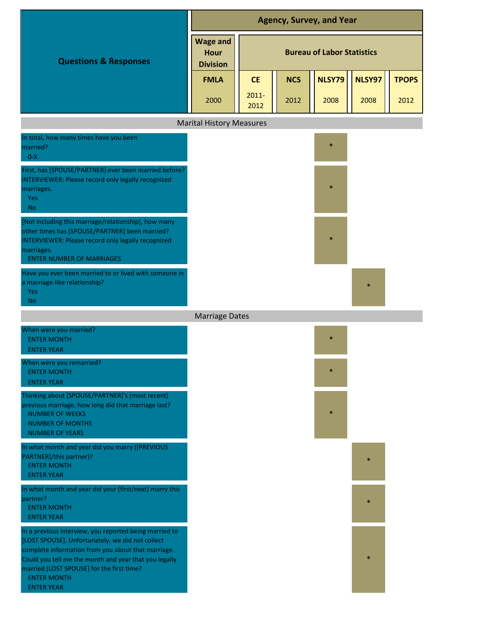|                                                                                                                                                                                                                                                                                                                   | <b>Agency, Survey, and Year</b>            |                                   |            |               |        |              |  |
|-------------------------------------------------------------------------------------------------------------------------------------------------------------------------------------------------------------------------------------------------------------------------------------------------------------------|--------------------------------------------|-----------------------------------|------------|---------------|--------|--------------|--|
| <b>Questions &amp; Responses</b>                                                                                                                                                                                                                                                                                  | <b>Wage and</b><br>Hour<br><b>Division</b> | <b>Bureau of Labor Statistics</b> |            |               |        |              |  |
|                                                                                                                                                                                                                                                                                                                   | <b>FMLA</b>                                | <b>CE</b>                         | <b>NCS</b> | <b>NLSY79</b> | NLSY97 | <b>TPOPS</b> |  |
|                                                                                                                                                                                                                                                                                                                   | 2000                                       | $2011 -$<br>2012                  | 2012       | 2008          | 2008   | 2012         |  |
|                                                                                                                                                                                                                                                                                                                   | <b>Marital History Measures</b>            |                                   |            |               |        |              |  |
| In total, how many times have you been<br>married?<br>$0-X$                                                                                                                                                                                                                                                       |                                            |                                   |            | $\ast$        |        |              |  |
| First, has [SPOUSE/PARTNER] ever been married before?<br><b>INTERVIEWER: Please record only legally recognized</b><br>marriages.<br>Yes<br><b>No</b>                                                                                                                                                              |                                            |                                   |            |               |        |              |  |
| [Not including this marriage/relationship], how many<br>other times has [SPOUSE/PARTNER] been married?<br><b>INTERVIEWER: Please record only legally recognized</b><br>marriages.<br><b>ENTER NUMBER OF MARRIAGES</b>                                                                                             |                                            |                                   |            |               |        |              |  |
| Have you ever been married to or lived with someone in<br>a marriage-like relationship?<br><b>Yes</b><br><b>No</b>                                                                                                                                                                                                |                                            |                                   |            |               | $\ast$ |              |  |
|                                                                                                                                                                                                                                                                                                                   | <b>Marriage Dates</b>                      |                                   |            |               |        |              |  |
| When were you married?<br><b>ENTER MONTH</b><br><b>ENTER YEAR</b>                                                                                                                                                                                                                                                 |                                            |                                   |            | $\ast$        |        |              |  |
| When were you remarried?<br><b>ENTER MONTH</b><br><b>ENTER YEAR</b>                                                                                                                                                                                                                                               |                                            |                                   |            | $\ast$        |        |              |  |
| Thinking about [SPOUSE/PARTNER]'s (most recent)<br>previous marriage, how long did that marriage last?<br><b>NUMBER OF WEEKS</b><br><b>NUMBER OF MONTHS</b><br><b>NUMBER OF YEARS</b>                                                                                                                             |                                            |                                   |            | $\ast$        |        |              |  |
| In what month and year did you marry ([PREVIOUS<br>PARTNER]/this partner)?<br><b>ENTER MONTH</b><br><b>ENTER YEAR</b>                                                                                                                                                                                             |                                            |                                   |            |               | ×.     |              |  |
| In what month and year did your (first/next) marry this<br>partner?<br><b>ENTER MONTH</b><br><b>ENTER YEAR</b>                                                                                                                                                                                                    |                                            |                                   |            |               | $\ast$ |              |  |
| In a previous interview, you reported being married to<br>[LOST SPOUSE]. Unfortunately, we did not collect<br>complete information from you about that marriage.<br>Could you tell me the month and year that you legally<br>married [LOST SPOUSE] for the first time?<br><b>ENTER MONTH</b><br><b>ENTER YEAR</b> |                                            |                                   |            |               | *      |              |  |